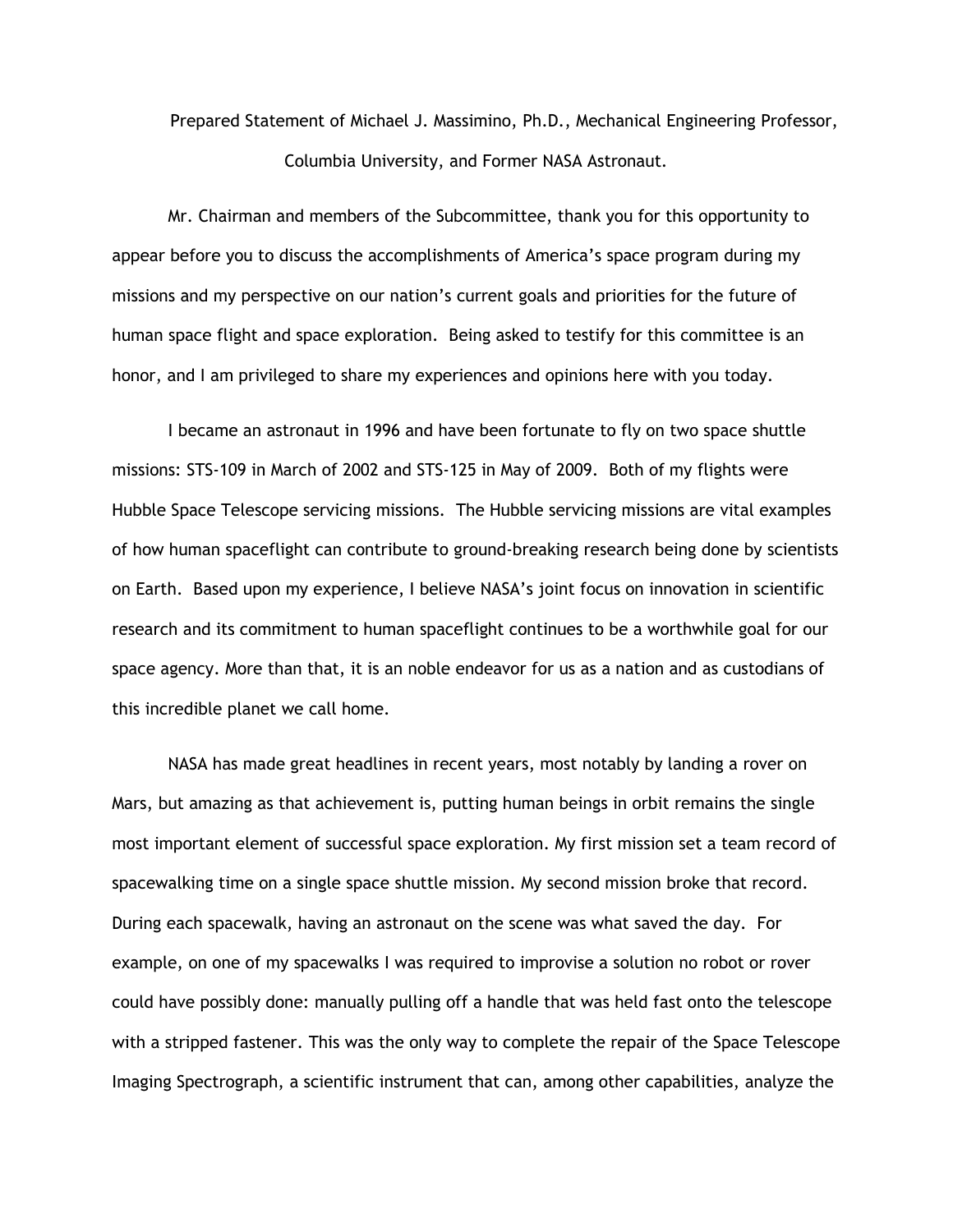Prepared Statement of Michael J. Massimino, Ph.D., Mechanical Engineering Professor, Columbia University, and Former NASA Astronaut.

Mr. Chairman and members of the Subcommittee, thank you for this opportunity to appear before you to discuss the accomplishments of America's space program during my missions and my perspective on our nation's current goals and priorities for the future of human space flight and space exploration. Being asked to testify for this committee is an honor, and I am privileged to share my experiences and opinions here with you today.

I became an astronaut in 1996 and have been fortunate to fly on two space shuttle missions: STS-109 in March of 2002 and STS-125 in May of 2009. Both of my flights were Hubble Space Telescope servicing missions. The Hubble servicing missions are vital examples of how human spaceflight can contribute to ground-breaking research being done by scientists on Earth. Based upon my experience, I believe NASA's joint focus on innovation in scientific research and its commitment to human spaceflight continues to be a worthwhile goal for our space agency. More than that, it is an noble endeavor for us as a nation and as custodians of this incredible planet we call home.

NASA has made great headlines in recent years, most notably by landing a rover on Mars, but amazing as that achievement is, putting human beings in orbit remains the single most important element of successful space exploration. My first mission set a team record of spacewalking time on a single space shuttle mission. My second mission broke that record. During each spacewalk, having an astronaut on the scene was what saved the day. For example, on one of my spacewalks I was required to improvise a solution no robot or rover could have possibly done: manually pulling off a handle that was held fast onto the telescope with a stripped fastener. This was the only way to complete the repair of the Space Telescope Imaging Spectrograph, a scientific instrument that can, among other capabilities, analyze the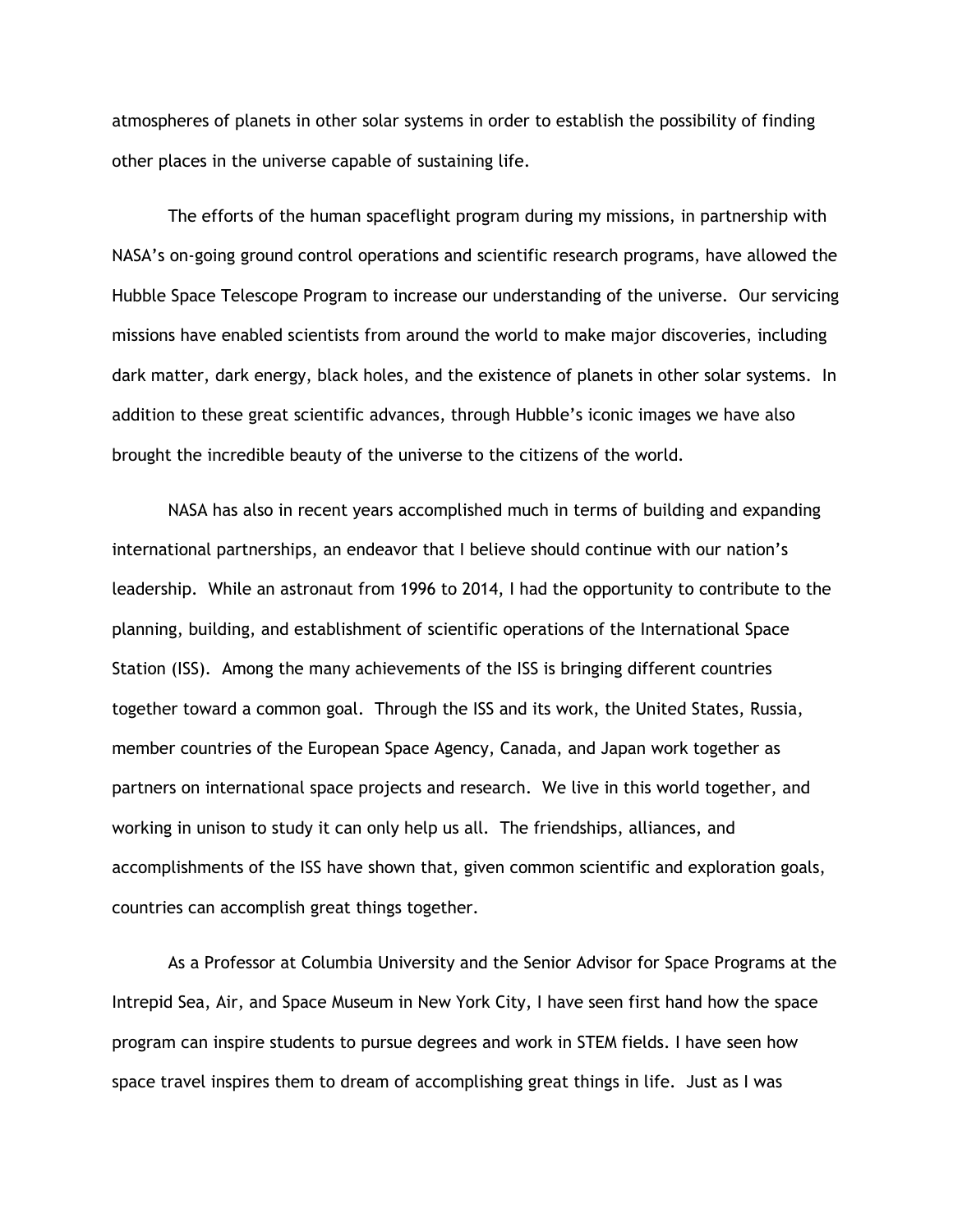atmospheres of planets in other solar systems in order to establish the possibility of finding other places in the universe capable of sustaining life.

The efforts of the human spaceflight program during my missions, in partnership with NASA's on-going ground control operations and scientific research programs, have allowed the Hubble Space Telescope Program to increase our understanding of the universe. Our servicing missions have enabled scientists from around the world to make major discoveries, including dark matter, dark energy, black holes, and the existence of planets in other solar systems. In addition to these great scientific advances, through Hubble's iconic images we have also brought the incredible beauty of the universe to the citizens of the world.

NASA has also in recent years accomplished much in terms of building and expanding international partnerships, an endeavor that I believe should continue with our nation's leadership. While an astronaut from 1996 to 2014, I had the opportunity to contribute to the planning, building, and establishment of scientific operations of the International Space Station (ISS). Among the many achievements of the ISS is bringing different countries together toward a common goal. Through the ISS and its work, the United States, Russia, member countries of the European Space Agency, Canada, and Japan work together as partners on international space projects and research. We live in this world together, and working in unison to study it can only help us all. The friendships, alliances, and accomplishments of the ISS have shown that, given common scientific and exploration goals, countries can accomplish great things together.

As a Professor at Columbia University and the Senior Advisor for Space Programs at the Intrepid Sea, Air, and Space Museum in New York City, I have seen first hand how the space program can inspire students to pursue degrees and work in STEM fields. I have seen how space travel inspires them to dream of accomplishing great things in life. Just as I was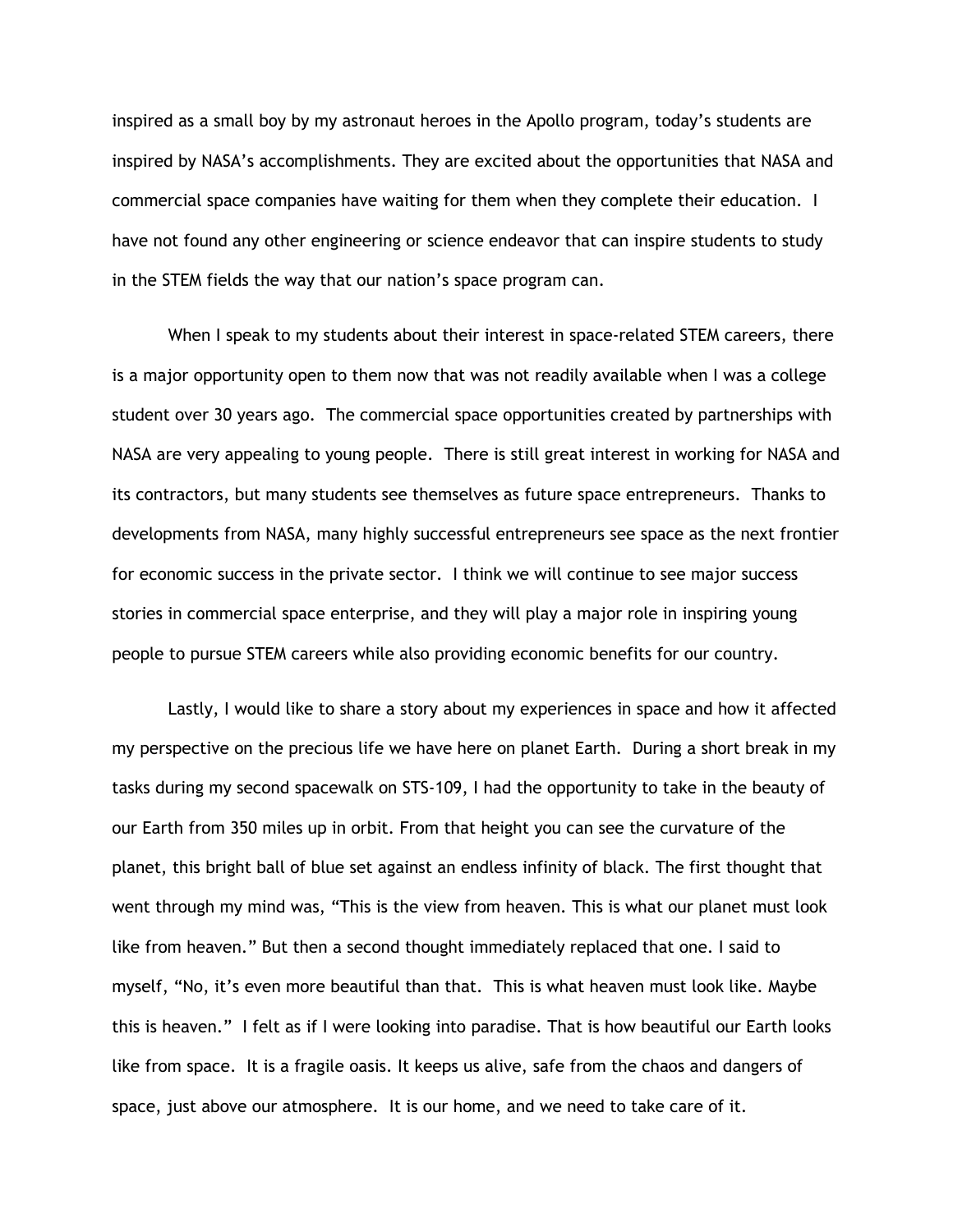inspired as a small boy by my astronaut heroes in the Apollo program, today's students are inspired by NASA's accomplishments. They are excited about the opportunities that NASA and commercial space companies have waiting for them when they complete their education. I have not found any other engineering or science endeavor that can inspire students to study in the STEM fields the way that our nation's space program can.

When I speak to my students about their interest in space-related STEM careers, there is a major opportunity open to them now that was not readily available when I was a college student over 30 years ago. The commercial space opportunities created by partnerships with NASA are very appealing to young people. There is still great interest in working for NASA and its contractors, but many students see themselves as future space entrepreneurs. Thanks to developments from NASA, many highly successful entrepreneurs see space as the next frontier for economic success in the private sector. I think we will continue to see major success stories in commercial space enterprise, and they will play a major role in inspiring young people to pursue STEM careers while also providing economic benefits for our country.

Lastly, I would like to share a story about my experiences in space and how it affected my perspective on the precious life we have here on planet Earth. During a short break in my tasks during my second spacewalk on STS-109, I had the opportunity to take in the beauty of our Earth from 350 miles up in orbit. From that height you can see the curvature of the planet, this bright ball of blue set against an endless infinity of black. The first thought that went through my mind was, "This is the view from heaven. This is what our planet must look like from heaven." But then a second thought immediately replaced that one. I said to myself, "No, it's even more beautiful than that. This is what heaven must look like. Maybe this is heaven." I felt as if I were looking into paradise. That is how beautiful our Earth looks like from space. It is a fragile oasis. It keeps us alive, safe from the chaos and dangers of space, just above our atmosphere. It is our home, and we need to take care of it.